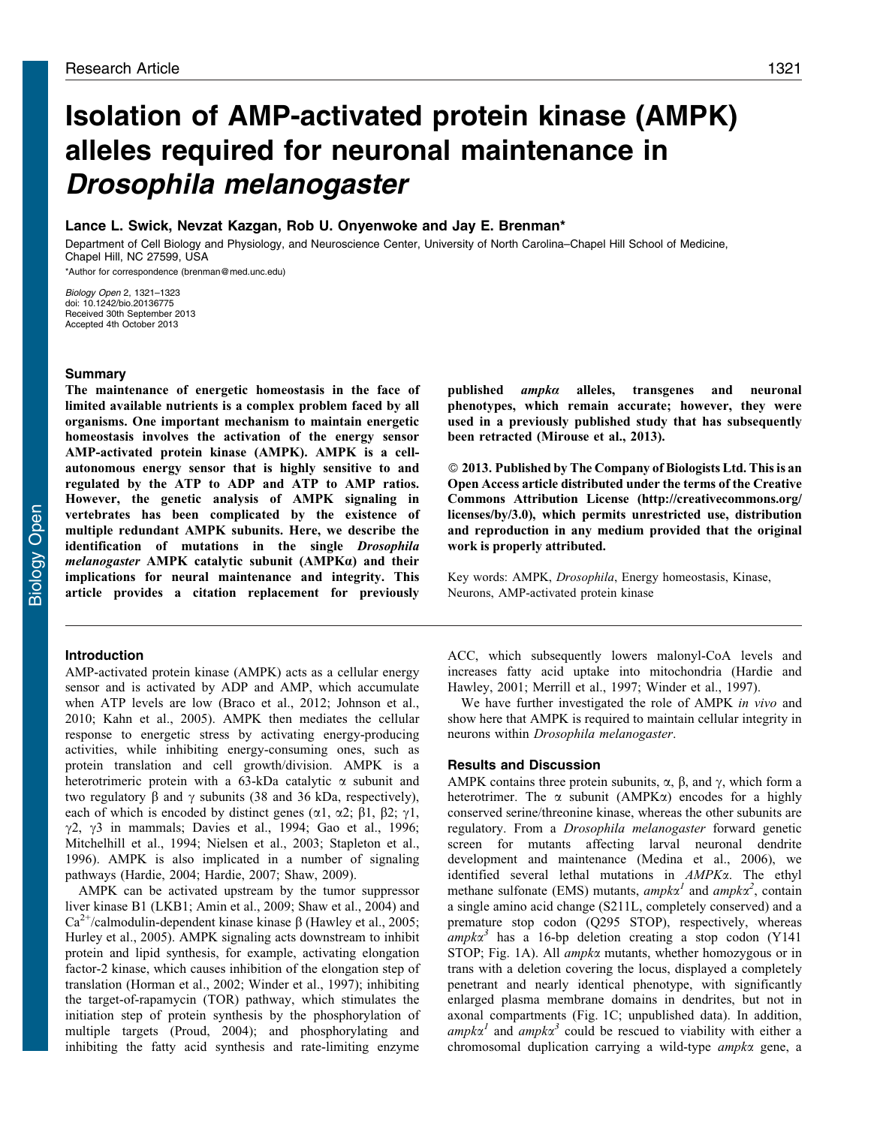# Isolation of AMP-activated protein kinase (AMPK) alleles required for neuronal maintenance in Drosophila melanogaster

# Lance L. Swick, Nevzat Kazgan, Rob U. Onyenwoke and Jay E. Brenman\*

Department of Cell Biology and Physiology, and Neuroscience Center, University of North Carolina–Chapel Hill School of Medicine, Chapel Hill, NC 27599, USA \*Author for correspondence ([brenman@med.unc.edu\)](mailto:brenman@med.unc.edu)

Biology Open 2, 1321–1323 doi: 10.1242/bio.20136775 Received 30th September 2013 Accepted 4th October 2013

## **Summary**

The maintenance of energetic homeostasis in the face of limited available nutrients is a complex problem faced by all organisms. One important mechanism to maintain energetic homeostasis involves the activation of the energy sensor AMP-activated protein kinase (AMPK). AMPK is a cellautonomous energy sensor that is highly sensitive to and regulated by the ATP to ADP and ATP to AMP ratios. However, the genetic analysis of AMPK signaling in vertebrates has been complicated by the existence of multiple redundant AMPK subunits. Here, we describe the identification of mutations in the single Drosophila melanogaster AMPK catalytic subunit (AMPKa) and their implications for neural maintenance and integrity. This article provides a citation replacement for previously

### Introduction

AMP-activated protein kinase (AMPK) acts as a cellular energy sensor and is activated by ADP and AMP, which accumulate when ATP levels are low ([Braco et al., 2012; Johnson et al.,](#page-1-0) [2010;](#page-1-0) [Kahn et al., 2005](#page-2-0)). AMPK then mediates the cellular response to energetic stress by activating energy-producing activities, while inhibiting energy-consuming ones, such as protein translation and cell growth/division. AMPK is a heterotrimeric protein with a 63-kDa catalytic  $\alpha$  subunit and two regulatory  $\beta$  and  $\gamma$  subunits (38 and 36 kDa, respectively), each of which is encoded by distinct genes ( $\alpha$ 1,  $\alpha$ 2;  $\beta$ 1,  $\beta$ 2;  $\gamma$ 1,  $\gamma$ 2,  $\gamma$ 3 in mammals; [Davies et al., 1994](#page-1-0); [Gao et al., 1996](#page-1-0); [Mitchelhill et al., 1994; Nielsen et al., 2003; Stapleton et al.,](#page-2-0) [1996\)](#page-2-0). AMPK is also implicated in a number of signaling pathways ([Hardie, 2004](#page-1-0); [Hardie, 2007](#page-1-0); [Shaw, 2009](#page-2-0)).

AMPK can be activated upstream by the tumor suppressor liver kinase B1 (LKB1; [Amin et al., 2009](#page-1-0); [Shaw et al., 2004\)](#page-2-0) and  $Ca^{2+}/c$ almodulin-dependent kinase kinase  $\beta$  [\(Hawley et al., 2005](#page-1-0); [Hurley et al., 2005\)](#page-1-0). AMPK signaling acts downstream to inhibit protein and lipid synthesis, for example, activating elongation factor-2 kinase, which causes inhibition of the elongation step of translation ([Horman et al., 2002](#page-1-0); [Winder et al., 1997](#page-2-0)); inhibiting the target-of-rapamycin (TOR) pathway, which stimulates the initiation step of protein synthesis by the phosphorylation of multiple targets ([Proud, 2004\)](#page-2-0); and phosphorylating and inhibiting the fatty acid synthesis and rate-limiting enzyme

published  $ampka$  alleles, transgenes and neuronal phenotypes, which remain accurate; however, they were used in a previously published study that has subsequently been retracted ([Mirouse et al., 2013](#page-2-0)).

- 2013. Published by The Company of Biologists Ltd. This is an Open Access article distributed under the terms of the Creative Commons Attribution License [\(http://creativecommons.org/](http://creativecommons.org/licenses/by/3.0) [licenses/by/3.0](http://creativecommons.org/licenses/by/3.0)), which permits unrestricted use, distribution and reproduction in any medium provided that the original work is properly attributed.

Key words: AMPK, Drosophila, Energy homeostasis, Kinase, Neurons, AMP-activated protein kinase

ACC, which subsequently lowers malonyl-CoA levels and increases fatty acid uptake into mitochondria ([Hardie and](#page-1-0) [Hawley, 2001;](#page-1-0) [Merrill et al., 1997](#page-2-0); [Winder et al., 1997\)](#page-2-0).

We have further investigated the role of AMPK in vivo and show here that AMPK is required to maintain cellular integrity in neurons within Drosophila melanogaster.

## Results and Discussion

AMPK contains three protein subunits,  $\alpha$ ,  $\beta$ , and  $\gamma$ , which form a heterotrimer. The  $\alpha$  subunit (AMPK $\alpha$ ) encodes for a highly conserved serine/threonine kinase, whereas the other subunits are regulatory. From a Drosophila melanogaster forward genetic screen for mutants affecting larval neuronal dendrite development and maintenance [\(Medina et al., 2006\)](#page-2-0), we identified several lethal mutations in AMPKa. The ethyl methane sulfonate (EMS) mutants, ampk $\alpha^I$  and ampk $\alpha^2$ , contain a single amino acid change (S211L, completely conserved) and a premature stop codon (Q295 STOP), respectively, whereas  $ampk\alpha^3$  has a 16-bp deletion creating a stop codon (Y141) STOP; [Fig. 1A](#page-1-0)). All *ampk* $\alpha$  mutants, whether homozygous or in trans with a deletion covering the locus, displayed a completely penetrant and nearly identical phenotype, with significantly enlarged plasma membrane domains in dendrites, but not in axonal compartments ([Fig. 1C;](#page-1-0) unpublished data). In addition,  $ampk\alpha<sup>1</sup>$  and  $ampk\alpha<sup>3</sup>$  could be rescued to viability with either a chromosomal duplication carrying a wild-type ampka gene, a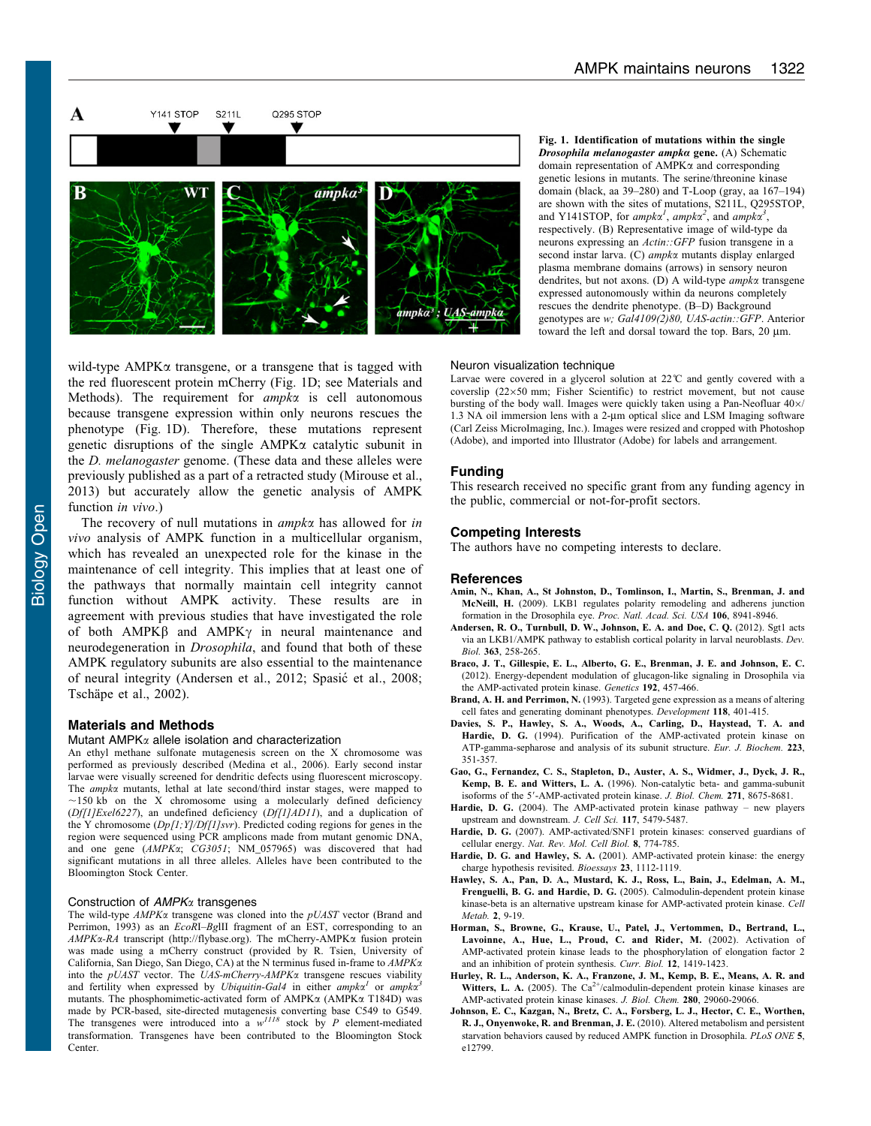<span id="page-1-0"></span>

Fig. 1. Identification of mutations within the single Drosophila melanogaster ampka gene. (A) Schematic domain representation of AMPKa and corresponding genetic lesions in mutants. The serine/threonine kinase domain (black, aa 39–280) and T-Loop (gray, aa 167–194) are shown with the sites of mutations, S211L, Q295STOP, and Y141STOP, for ampka<sup>1</sup>, ampka<sup>2</sup>, and ampka<sup>3</sup>, respectively. (B) Representative image of wild-type da neurons expressing an Actin::GFP fusion transgene in a second instar larva. (C) ampka mutants display enlarged plasma membrane domains (arrows) in sensory neuron dendrites, but not axons. (D) A wild-type ampka transgene expressed autonomously within da neurons completely rescues the dendrite phenotype. (B–D) Background genotypes are w; Gal4109(2)80, UAS-actin::GFP. Anterior toward the left and dorsal toward the top. Bars,  $20 \mu m$ .

wild-type  $AMPK\alpha$  transgene, or a transgene that is tagged with the red fluorescent protein mCherry (Fig. 1D; see Materials and Methods). The requirement for *ampka* is cell autonomous because transgene expression within only neurons rescues the phenotype (Fig. 1D). Therefore, these mutations represent genetic disruptions of the single AMPKa catalytic subunit in the *D. melanogaster* genome. (These data and these alleles were previously published as a part of a retracted study [\(Mirouse et al.,](#page-2-0) [2013\)](#page-2-0) but accurately allow the genetic analysis of AMPK function *in vivo*.)

The recovery of null mutations in *ampka* has allowed for in vivo analysis of AMPK function in a multicellular organism, which has revealed an unexpected role for the kinase in the maintenance of cell integrity. This implies that at least one of the pathways that normally maintain cell integrity cannot function without AMPK activity. These results are in agreement with previous studies that have investigated the role of both  $AMPK\beta$  and  $AMPK\gamma$  in neural maintenance and neurodegeneration in Drosophila, and found that both of these AMPK regulatory subunits are also essential to the maintenance of neural integrity (Andersen et al., 2012; Spasić et al., 2008; Tschäpe et al., 2002).

## Materials and Methods

#### Mutant AMPK $\alpha$  allele isolation and characterization

An ethyl methane sulfonate mutagenesis screen on the X chromosome was performed as previously described ([Medina et al., 2006](#page-2-0)). Early second instar larvae were visually screened for dendritic defects using fluorescent microscopy. The *ampk*<sub>x</sub> mutants, lethal at late second/third instar stages, were mapped to  $\sim$ 150 kb on the X chromosome using a molecularly defined deficiency (Df[1]Exel6227), an undefined deficiency (Df[1]AD11), and a duplication of the Y chromosome (Dp[1;Y]/Df[1]svr). Predicted coding regions for genes in the region were sequenced using PCR amplicons made from mutant genomic DNA, and one gene (AMPKa; CG3051; NM 057965) was discovered that had significant mutations in all three alleles. Alleles have been contributed to the Bloomington Stock Center.

## Construction of AMPK<sub>x</sub> transgenes

The wild-type  $AMPK\alpha$  transgene was cloned into the  $pUAST$  vector (Brand and Perrimon, 1993) as an EcoRI–BglII fragment of an EST, corresponding to an AMPKa-RA transcript [\(http://flybase.org\)](http://flybase.org). The mCherry-AMPKa fusion protein was made using a mCherry construct (provided by R. Tsien, University of California, San Diego, San Diego, CA) at the N terminus fused in-frame to AMPKa into the  $pUAST$  vector. The  $UAS-mCherry-AMPK\alpha$  transgene rescues viability and fertility when expressed by Ubiquitin-Gal4 in either  $ampkx<sup>1</sup>$  or  $ampkx<sup>2</sup>$ mutants. The phosphomimetic-activated form of  $AMPK\alpha$  ( $AMPK\alpha$  T184D) was made by PCR-based, site-directed mutagenesis converting base C549 to G549.<br>The transgenes were introduced into a  $w^{IIB}$  stock by P element-mediated transformation. Transgenes have been contributed to the Bloomington Stock Center.

#### Neuron visualization technique

Larvae were covered in a glycerol solution at 22<sup>°</sup>C and gently covered with a coverslip  $(22\times50 \text{ mm})$ : Fisher Scientific) to restrict movement, but not cause bursting of the body wall. Images were quickly taken using a Pan-Neofluar  $40\times$ / 1.3 NA oil immersion lens with a 2-um optical slice and LSM Imaging software (Carl Zeiss MicroImaging, Inc.). Images were resized and cropped with Photoshop (Adobe), and imported into Illustrator (Adobe) for labels and arrangement.

#### Funding

This research received no specific grant from any funding agency in the public, commercial or not-for-profit sectors.

# Competing Interests

The authors have no competing interests to declare.

#### **References**

- [Amin, N., Khan, A., St Johnston, D., Tomlinson, I., Martin, S., Brenman, J. and](http://dx.doi.org/10.1073/pnas.0812469106) McNeill, H. [\(2009\). LKB1 regulates polarity remodeling and adherens junction](http://dx.doi.org/10.1073/pnas.0812469106) [formation in the Drosophila eye.](http://dx.doi.org/10.1073/pnas.0812469106) Proc. Natl. Acad. Sci. USA 106, 8941-8946.
- [Andersen, R. O., Turnbull, D. W., Johnson, E. A. and Doe, C. Q.](http://dx.doi.org/10.1016/j.ydbio.2011.12.047) (2012). Sgt1 acts [via an LKB1/AMPK pathway to establish cortical polarity in larval neuroblasts.](http://dx.doi.org/10.1016/j.ydbio.2011.12.047) Dev. Biol. 363[, 258-265.](http://dx.doi.org/10.1016/j.ydbio.2011.12.047)
- [Braco, J. T., Gillespie, E. L., Alberto, G. E., Brenman, J. E. and Johnson, E. C.](http://dx.doi.org/10.1534/genetics.112.143610) [\(2012\). Energy-dependent modulation of glucagon-like signaling in Drosophila via](http://dx.doi.org/10.1534/genetics.112.143610) [the AMP-activated protein kinase.](http://dx.doi.org/10.1534/genetics.112.143610) Genetics 192, 457-466.
- Brand, A. H. and Perrimon, N. (1993). Targeted gene expression as a means of altering cell fates and generating dominant phenotypes. Development 118, 401-415.
- [Davies, S. P., Hawley, S. A., Woods, A., Carling, D., Haystead, T. A. and](http://dx.doi.org/10.1111/j.1432-1033.1994.tb19001.x) Hardie, D. G. [\(1994\). Purification of the AMP-activated protein kinase on](http://dx.doi.org/10.1111/j.1432-1033.1994.tb19001.x) [ATP-gamma-sepharose and analysis of its subunit structure.](http://dx.doi.org/10.1111/j.1432-1033.1994.tb19001.x) Eur. J. Biochem. 223, [351-357.](http://dx.doi.org/10.1111/j.1432-1033.1994.tb19001.x)
- [Gao, G., Fernandez, C. S., Stapleton, D., Auster, A. S., Widmer, J., Dyck, J. R.,](http://dx.doi.org/10.1074/jbc.271.15.8675) Kemp, B. E. and Witters, L. A. [\(1996\). Non-catalytic beta- and gamma-subunit](http://dx.doi.org/10.1074/jbc.271.15.8675) isoforms of the 5'[-AMP-activated protein kinase.](http://dx.doi.org/10.1074/jbc.271.15.8675) J. Biol. Chem. 271, 8675-8681.
- Hardie, D. G. [\(2004\). The AMP-activated protein kinase pathway new players](http://dx.doi.org/10.1242/jcs.01540) [upstream and downstream.](http://dx.doi.org/10.1242/jcs.01540) J. Cell Sci. 117, 5479-5487.
- Hardie, D. G. [\(2007\). AMP-activated/SNF1 protein kinases: conserved guardians of](http://dx.doi.org/10.1038/nrm2249) cellular energy. [Nat. Rev. Mol. Cell Biol.](http://dx.doi.org/10.1038/nrm2249) 8, 774-785.
- Hardie, D. G. and Hawley, S. A. [\(2001\). AMP-activated protein kinase: the energy](http://dx.doi.org/10.1002/bies.10009) [charge hypothesis revisited.](http://dx.doi.org/10.1002/bies.10009) Bioessays 23, 1112-1119.
- [Hawley, S. A., Pan, D. A., Mustard, K. J., Ross, L., Bain, J., Edelman, A. M.,](http://dx.doi.org/10.1016/j.cmet.2005.05.009) Frenguelli, B. G. and Hardie, D. G. [\(2005\). Calmodulin-dependent protein kinase](http://dx.doi.org/10.1016/j.cmet.2005.05.009) [kinase-beta is an alternative upstream kinase for AMP-activated protein kinase.](http://dx.doi.org/10.1016/j.cmet.2005.05.009) Cell [Metab.](http://dx.doi.org/10.1016/j.cmet.2005.05.009) 2, 9-19.
- [Horman, S., Browne, G., Krause, U., Patel, J., Vertommen, D., Bertrand, L.,](http://dx.doi.org/10.1016/S0960-9822(02)01077-1) [Lavoinne, A., Hue, L., Proud, C. and Rider, M.](http://dx.doi.org/10.1016/S0960-9822(02)01077-1) (2002). Activation of [AMP-activated protein kinase leads to the phosphorylation of elongation factor 2](http://dx.doi.org/10.1016/S0960-9822(02)01077-1) [and an inhibition of protein synthesis.](http://dx.doi.org/10.1016/S0960-9822(02)01077-1) Curr. Biol. 12, 1419-1423.
- [Hurley, R. L., Anderson, K. A., Franzone, J. M., Kemp, B. E., Means, A. R. and](http://dx.doi.org/10.1074/jbc.M503824200) Witters, L. A. [\(2005\).](http://dx.doi.org/10.1074/jbc.M503824200) [The](http://dx.doi.org/10.1074/jbc.M503824200)  $Ca^{2+}/cal$  $Ca^{2+}/cal$ calmodulin-dependent protein kinase kinases are [AMP-activated protein kinase kinases.](http://dx.doi.org/10.1074/jbc.M503824200) J. Biol. Chem. 280, 29060-29066.
- [Johnson, E. C., Kazgan, N., Bretz, C. A., Forsberg, L. J., Hector, C. E., Worthen,](http://dx.doi.org/10.1371/journal.pone.0012799) [R. J., Onyenwoke, R. and Brenman, J. E.](http://dx.doi.org/10.1371/journal.pone.0012799) (2010). Altered metabolism and persistent [starvation behaviors caused by reduced AMPK function in Drosophila.](http://dx.doi.org/10.1371/journal.pone.0012799) PLoS ONE 5, [e12799.](http://dx.doi.org/10.1371/journal.pone.0012799)